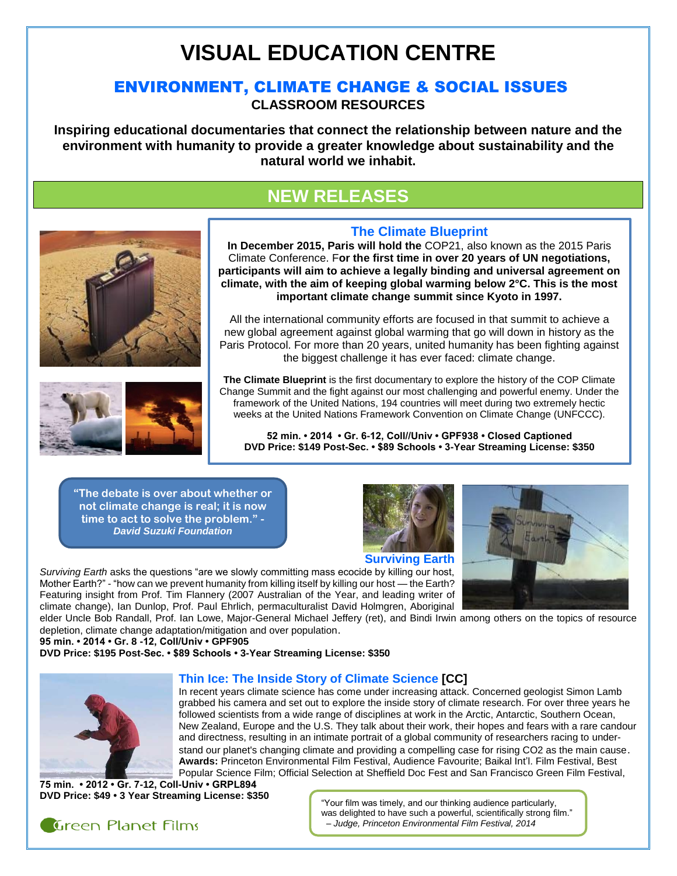# **VISUAL EDUCATION CENTRE**

# ENVIRONMENT, CLIMATE CHANGE & SOCIAL ISSUES **CLASSROOM RESOURCES**

**Inspiring educational documentaries that connect the relationship between nature and the environment with humanity to provide a greater knowledge about sustainability and the natural world we inhabit.**

# **NEW RELEASES**





**The Climate Blueprint In December 2015, Paris will hold the** COP21, also known as the 2015 Paris

Climate Conference. F**or the first time in over 20 years of UN negotiations, participants will aim to achieve a legally binding and universal agreement on climate, with the aim of keeping global warming below 2°C. This is the most important climate change summit since Kyoto in 1997.**

All the international community efforts are focused in that summit to achieve a new global agreement against global warming that go will down in history as the Paris Protocol. For more than 20 years, united humanity has been fighting against the biggest challenge it has ever faced: climate change.

**The Climate Blueprint** is the first documentary to explore the history of the COP Climate Change Summit and the fight against our most challenging and powerful enemy. Under the framework of the United Nations, 194 countries will meet during two extremely hectic weeks at the United Nations Framework Convention on Climate Change (UNFCCC).

**52 min. • 2014 • Gr. 6-12, Coll//Univ • GPF938 • Closed Captioned DVD Price: \$149 Post-Sec. • \$89 Schools • 3-Year Streaming License: \$350**

**"The debate is over about whether or not climate change is real; it is now time to act to solve the problem." -** *David Suzuki Foundation*



**Surviving Earth**

*Surviving Earth* asks the questions "are we slowly committing mass ecocide by killing our host, Mother Earth?" - "how can we prevent humanity from killing itself by killing our host — the Earth? Featuring insight from Prof. Tim Flannery (2007 Australian of the Year, and leading writer of climate change), Ian Dunlop, Prof. Paul Ehrlich, permaculturalist David Holmgren, Aboriginal



elder Uncle Bob Randall, Prof. Ian Lowe, Major-General Michael Jeffery (ret), and Bindi Irwin among others on the topics of resource depletion, climate change adaptation/mitigation and over population.

**95 min. • 2014 • Gr. 8 -12, Coll/Univ • GPF905** 

**DVD Price: \$195 Post-Sec. • \$89 Schools • 3-Year Streaming License: \$350** 



# **Thin Ice: The Inside Story of Climate Science [CC]**

In recent years climate science has come under increasing attack. Concerned geologist Simon Lamb grabbed his camera and set out to explore the inside story of climate research. For over three years he followed scientists from a wide range of disciplines at work in the Arctic, Antarctic, Southern Ocean, New Zealand, Europe and the U.S. They talk about their work, their hopes and fears with a rare candour and directness, resulting in an intimate portrait of a global community of researchers racing to understand our planet's changing climate and providing a compelling case for rising CO2 as the main cause. **Awards:** Princeton Environmental Film Festival, Audience Favourite; Baikal Int'l. Film Festival, Best Popular Science Film; Official Selection at Sheffield Doc Fest and San Francisco Green Film Festival,

**75 min. • 2012 • Gr. 7-12, Coll-Univ • GRPL894 DVD Price: \$49 • 3 Year Streaming License: \$350**

**Creen Planet Films** 

"Your film was timely, and our thinking audience particularly, was delighted to have such a powerful, scientifically strong film."  *– Judge, Princeton Environmental Film Festival, 2014*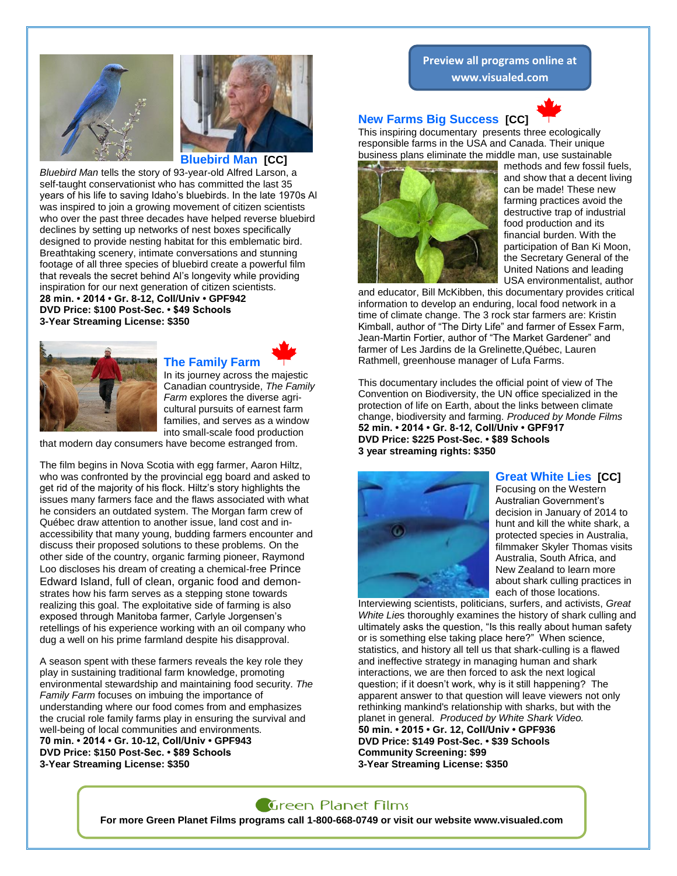



**Bluebird Man [CC]**

*Bluebird Man* tells the story of 93-year-old Alfred Larson, a self-taught conservationist who has committed the last 35 years of his life to saving Idaho's bluebirds. In the late 1970s Al was inspired to join a growing movement of citizen scientists who over the past three decades have helped reverse bluebird declines by setting up networks of nest boxes specifically designed to provide nesting habitat for this emblematic bird. Breathtaking scenery, intimate conversations and stunning footage of all three species of bluebird create a powerful film that reveals the secret behind Al's longevity while providing inspiration for our next generation of citizen scientists*.*  **28 min. • 2014 • Gr. 8-12, Coll/Univ • GPF942 DVD Price: \$100 Post-Sec. • \$49 Schools 3-Year Streaming License: \$350**



**The Family Farm**



In its journey across the majestic Canadian countryside, *The Family Farm* explores the diverse agricultural pursuits of earnest farm families, and serves as a window into small-scale food production

that modern day consumers have become estranged from.

The film begins in Nova Scotia with egg farmer, Aaron Hiltz, who was confronted by the provincial egg board and asked to get rid of the majority of his flock. Hiltz's story highlights the issues many farmers face and the flaws associated with what he considers an outdated system. The Morgan farm crew of Québec draw attention to another issue, land cost and inaccessibility that many young, budding farmers encounter and discuss their proposed solutions to these problems. On the other side of the country, organic farming pioneer, Raymond Loo discloses his dream of creating a chemical-free Prince Edward Island, full of clean, organic food and demonstrates how his farm serves as a stepping stone towards realizing this goal. The exploitative side of farming is also exposed through Manitoba farmer, Carlyle Jorgensen's retellings of his experience working with an oil company who dug a well on his prime farmland despite his disapproval.

A season spent with these farmers reveals the key role they play in sustaining traditional farm knowledge, promoting environmental stewardship and maintaining food security. *The Family Farm* focuses on imbuing the importance of understanding where our food comes from and emphasizes the crucial role family farms play in ensuring the survival and well-being of local communities and environments*.*  **70 min. • 2014 • Gr. 10-12, Coll/Univ • GPF943 DVD Price: \$150 Post-Sec. • \$89 Schools 3-Year Streaming License: \$350**

**Preview all programs online at** 

**www.visualed.com**

# **New Farms Big Success [CC]**

This inspiring documentary presents three ecologically responsible farms in the USA and Canada. Their unique business plans eliminate the middle man, use sustainable



methods and few fossil fuels, and show that a decent living can be made! These new farming practices avoid the destructive trap of industrial food production and its financial burden. With the participation of Ban Ki Moon, the Secretary General of the United Nations and leading USA environmentalist, author

and educator, Bill McKibben, this documentary provides critical information to develop an enduring, local food network in a time of climate change. The 3 rock star farmers are: Kristin Kimball, author of "The Dirty Life" and farmer of Essex Farm, Jean-Martin Fortier, author of "The Market Gardener" and farmer of Les Jardins de la Grelinette,Québec, Lauren Rathmell, greenhouse manager of Lufa Farms.

This documentary includes the official point of view of The Convention on Biodiversity, the UN office specialized in the protection of life on Earth, about the links between climate change, biodiversity and farming. *Produced by Monde Films* **52 min. • 2014 • Gr. 8-12, Coll/Univ • GPF917 DVD Price: \$225 Post-Sec. • \$89 Schools 3 year streaming rights: \$350**



#### **Great White Lies [CC]**

Focusing on the Western Australian Government's decision in January of 2014 to hunt and kill the white shark, a protected species in Australia, filmmaker Skyler Thomas visits Australia, South Africa, and New Zealand to learn more about shark culling practices in each of those locations.

Interviewing scientists, politicians, surfers, and activists, *Great White Lie*s thoroughly examines the history of shark culling and ultimately asks the question, "Is this really about human safety or is something else taking place here?" When science, statistics, and history all tell us that shark-culling is a flawed and ineffective strategy in managing human and shark interactions, we are then forced to ask the next logical question; if it doesn't work, why is it still happening? The apparent answer to that question will leave viewers not only rethinking mankind's relationship with sharks, but with the planet in general. *Produced by White Shark Video.* **50 min. • 2015 • Gr. 12, Coll/Univ • GPF936 DVD Price: \$149 Post-Sec. • \$39 Schools Community Screening: \$99 3-Year Streaming License: \$350**

### **Green Planet Films**

**For more Green Planet Films programs call 1-800-668-0749 or visit our website www.visualed.com**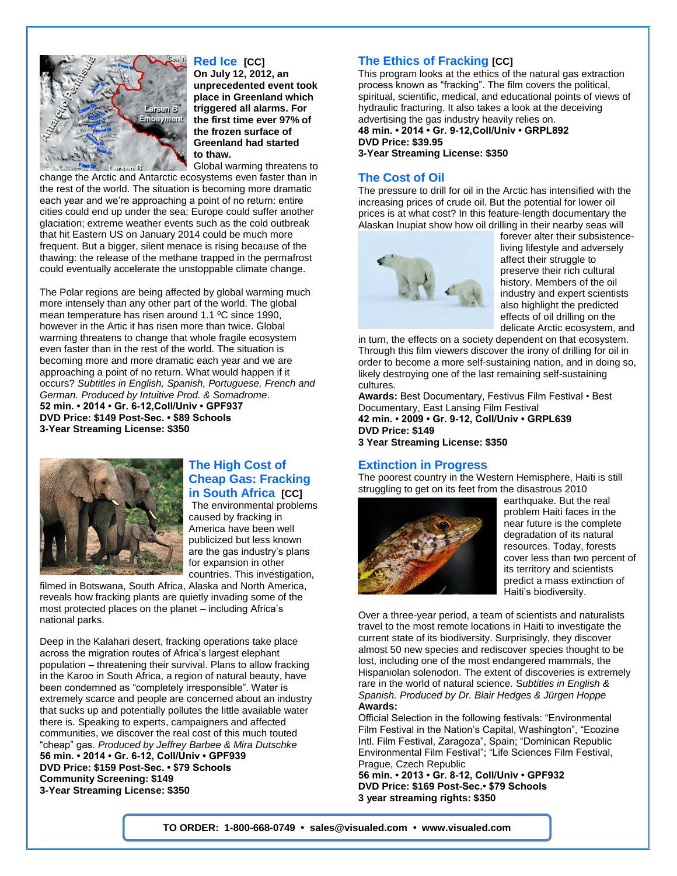

## **Red Ice [CC]**

**On July 12, 2012, an unprecedented event took place in Greenland which triggered all alarms. For the first time ever 97% of the frozen surface of Greenland had started to thaw.** Global warming threatens to

change the Arctic and Antarctic ecosystems even faster than in the rest of the world. The situation is becoming more dramatic each year and we're approaching a point of no return: entire cities could end up under the sea; Europe could suffer another glaciation; extreme weather events such as the cold outbreak that hit Eastern US on January 2014 could be much more frequent. But a bigger, silent menace is rising because of the thawing: the release of the methane trapped in the permafrost could eventually accelerate the unstoppable climate change.

The Polar regions are being affected by global warming much more intensely than any other part of the world. The global mean temperature has risen around 1.1 ºC since 1990, however in the Artic it has risen more than twice. Global warming threatens to change that whole fragile ecosystem even faster than in the rest of the world. The situation is becoming more and more dramatic each year and we are approaching a point of no return. What would happen if it occurs? *Subtitles in English, Spanish, Portuguese, French and German. Produced by Intuitive Prod. & Somadrome*. **52 min. • 2014 • Gr. 6-12,Coll/Univ • GPF937 DVD Price: \$149 Post-Sec. • \$89 Schools 3-Year Streaming License: \$350**



### **The High Cost of Cheap Gas: Fracking in South Africa [CC]**

The environmental problems caused by fracking in America have been well publicized but less known are the gas industry's plans for expansion in other countries. This investigation,

filmed in Botswana, South Africa, Alaska and North America, reveals how fracking plants are quietly invading some of the most protected places on the planet – including Africa's national parks.

Deep in the Kalahari desert, fracking operations take place across the migration routes of Africa's largest elephant population – threatening their survival. Plans to allow fracking in the Karoo in South Africa, a region of natural beauty, have been condemned as "completely irresponsible". Water is extremely scarce and people are concerned about an industry that sucks up and potentially pollutes the little available water there is. Speaking to experts, campaigners and affected communities, we discover the real cost of this much touted "cheap" gas. *Produced by Jeffrey Barbee & Mira Dutschke* **56 min. • 2014 • Gr. 6-12, Coll/Univ • GPF939 DVD Price: \$159 Post-Sec. • \$79 Schools Community Screening: \$149 3-Year Streaming License: \$350**

# **The Ethics of Fracking [CC]**

This program looks at the ethics of the natural gas extraction process known as "fracking". The film covers the political, spiritual, scientific, medical, and educational points of views of hydraulic fracturing. It also takes a look at the deceiving advertising the gas industry heavily relies on. **48 min. • 2014 • Gr. 9-12,Coll/Univ • GRPL892 DVD Price: \$39.95**

**3-Year Streaming License: \$350**

#### **The Cost of Oil**

The pressure to drill for oil in the Arctic has intensified with the increasing prices of crude oil. But the potential for lower oil prices is at what cost? In this feature-length documentary the Alaskan Inupiat show how oil drilling in their nearby seas will



forever alter their subsistenceliving lifestyle and adversely affect their struggle to preserve their rich cultural history. Members of the oil industry and expert scientists also highlight the predicted effects of oil drilling on the delicate Arctic ecosystem, and

in turn, the effects on a society dependent on that ecosystem. Through this film viewers discover the irony of drilling for oil in order to become a more self-sustaining nation, and in doing so, likely destroying one of the last remaining self-sustaining cultures.

**Awards:** Best Documentary, Festivus Film Festival • Best Documentary, East Lansing Film Festival **42 min. • 2009 • Gr. 9-12, Coll/Univ • GRPL639 DVD Price: \$149 3 Year Streaming License: \$350**

#### **Extinction in Progress**

The poorest country in the Western Hemisphere, Haiti is still struggling to get on its feet from the disastrous 2010



earthquake. But the real problem Haiti faces in the near future is the complete degradation of its natural resources. Today, forests cover less than two percent of its territory and scientists predict a mass extinction of Haiti's biodiversity.

Over a three-year period, a team of scientists and naturalists travel to the most remote locations in Haiti to investigate the current state of its biodiversity. Surprisingly, they discover almost 50 new species and rediscover species thought to be lost, including one of the most endangered mammals, the Hispaniolan solenodon*.* The extent of discoveries is extremely rare in the world of natural science. S*ubtitles in English & Spanish. Produced by Dr. Blair Hedges & Jürgen Hoppe* **Awards:**

Official Selection in the following festivals: "Environmental Film Festival in the Nation's Capital, Washington", "Ecozine Intl. Film Festival, Zaragoza", Spain; "Dominican Republic Environmental Film Festival"; "Life Sciences Film Festival, Prague, Czech Republic

**56 min. • 2013 • Gr. 8-12, Coll/Univ • GPF932 DVD Price: \$169 Post-Sec.• \$79 Schools 3 year streaming rights: \$350**